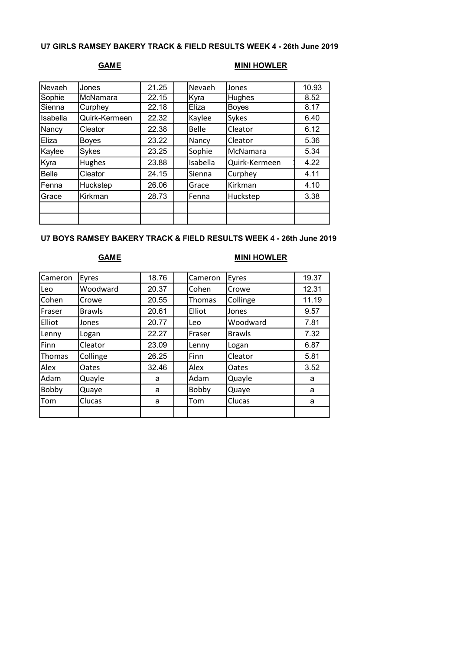### U7 GIRLS RAMSEY BAKERY TRACK & FIELD RESULTS WEEK 4 - 26th June 2019

# GAME MINI HOWLER

| Nevaeh          | Jones         | 21.25 | Nevaeh       | Jones         | 10.93 |
|-----------------|---------------|-------|--------------|---------------|-------|
| Sophie          | McNamara      | 22.15 | Kyra         | Hughes        | 8.52  |
| Sienna          | Curphey       | 22.18 | Eliza        | <b>Boyes</b>  | 8.17  |
| <b>Isabella</b> | Quirk-Kermeen | 22.32 | Kaylee       | Sykes         | 6.40  |
| Nancy           | Cleator       | 22.38 | <b>Belle</b> | Cleator       | 6.12  |
| Eliza           | <b>Boyes</b>  | 23.22 | Nancy        | Cleator       | 5.36  |
| Kaylee          | Sykes         | 23.25 | Sophie       | McNamara      | 5.34  |
| Kyra            | Hughes        | 23.88 | Isabella     | Quirk-Kermeen | 4.22  |
| <b>Belle</b>    | Cleator       | 24.15 | Sienna       | Curphey       | 4.11  |
| Fenna           | Huckstep      | 26.06 | Grace        | Kirkman       | 4.10  |
| Grace           | Kirkman       | 28.73 | Fenna        | Huckstep      | 3.38  |
|                 |               |       |              |               |       |
|                 |               |       |              |               |       |

### U7 BOYS RAMSEY BAKERY TRACK & FIELD RESULTS WEEK 4 - 26th June 2019

# GAME MINI HOWLER

| Cameron | Eyres         | 18.76 | Cameron | Eyres         | 19.37 |
|---------|---------------|-------|---------|---------------|-------|
| Leo     | Woodward      | 20.37 | Cohen   | Crowe         | 12.31 |
| Cohen   | Crowe         | 20.55 | Thomas  | Collinge      | 11.19 |
| Fraser  | <b>Brawls</b> | 20.61 | Elliot  | Jones         | 9.57  |
| Elliot  | Jones         | 20.77 | Leo     | Woodward      | 7.81  |
| Lenny   | Logan         | 22.27 | Fraser  | <b>Brawls</b> | 7.32  |
| Finn    | Cleator       | 23.09 | Lenny   | Logan         | 6.87  |
| Thomas  | Collinge      | 26.25 | Finn    | Cleator       | 5.81  |
| Alex    | Oates         | 32.46 | Alex    | Oates         | 3.52  |
| Adam    | Quayle        | a     | Adam    | Quayle        | a     |
| Bobby   | Quaye         | a     | Bobby   | Quaye         | a     |
| Tom     | Clucas        | a     | Tom     | Clucas        | a     |
|         |               |       |         |               |       |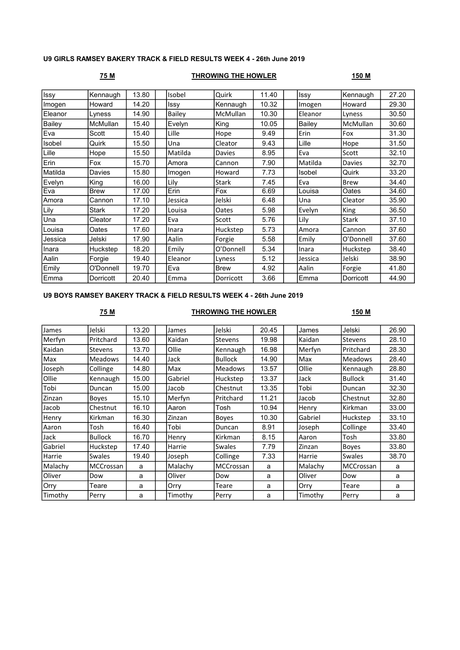### U9 GIRLS RAMSEY BAKERY TRACK & FIELD RESULTS WEEK 4 - 26th June 2019

### 75 M THROWING THE HOWLER 150 M

| <b>Issy</b> | Kennaugh     | 13.80 | Isobel  | Quirk     | 11.40 | Issy    | Kennaugh        | 27.20 |
|-------------|--------------|-------|---------|-----------|-------|---------|-----------------|-------|
| Imogen      | Howard       | 14.20 | Issy    | Kennaugh  | 10.32 | Imogen  | Howard          | 29.30 |
| Eleanor     | Lyness       | 14.90 | Bailey  | McMullan  | 10.30 | Eleanor | Lyness          | 30.50 |
| Bailey      | McMullan     | 15.40 | Evelyn  | King      | 10.05 | Bailey  | <b>McMullan</b> | 30.60 |
| Eva         | Scott        | 15.40 | Lille   | Hope      | 9.49  | Erin    | Fox             | 31.30 |
| Isobel      | Quirk        | 15.50 | Una     | Cleator   | 9.43  | Lille   | Hope            | 31.50 |
| Lille       | Hope         | 15.50 | Matilda | Davies    | 8.95  | Eva     | Scott           | 32.10 |
| Erin        | Fox          | 15.70 | Amora   | Cannon    | 7.90  | Matilda | Davies          | 32.70 |
| Matilda     | Davies       | 15.80 | Imogen  | Howard    | 7.73  | Isobel  | Quirk           | 33.20 |
| Evelyn      | King         | 16.00 | Lily    | Stark     | 7.45  | Eva     | <b>Brew</b>     | 34.40 |
| Eva         | <b>Brew</b>  | 17.00 | Erin    | Fox       | 6.69  | Louisa  | Oates           | 34.60 |
| Amora       | Cannon       | 17.10 | Jessica | Jelski    | 6.48  | Una     | Cleator         | 35.90 |
| Lily        | <b>Stark</b> | 17.20 | Louisa  | Oates     | 5.98  | Evelyn  | King            | 36.50 |
| Una         | Cleator      | 17.20 | Eva     | Scott     | 5.76  | Lily    | Stark           | 37.10 |
| Louisa      | Oates        | 17.60 | Inara   | Huckstep  | 5.73  | Amora   | Cannon          | 37.60 |
| Jessica     | Jelski       | 17.90 | Aalin   | Forgie    | 5.58  | Emily   | O'Donnell       | 37.60 |
| Inara       | Huckstep     | 18.20 | Emily   | O'Donnell | 5.34  | Inara   | Huckstep        | 38.40 |
| Aalin       | Forgie       | 19.40 | Eleanor | Lyness    | 5.12  | Jessica | Jelski          | 38.90 |
| Emily       | O'Donnell    | 19.70 | Eva     | Brew      | 4.92  | Aalin   | Forgie          | 41.80 |
| Emma        | Dorricott    | 20.40 | Emma    | Dorricott | 3.66  | Emma    | Dorricott       | 44.90 |
|             |              |       |         |           |       |         |                 |       |

### U9 BOYS RAMSEY BAKERY TRACK & FIELD RESULTS WEEK 4 - 26th June 2019

## 75 M THROWING THE HOWLER 150 M

| James   | Jelski         | 13.20 | James   | Jelski         | 20.45 | James   | Jelski         | 26.90 |
|---------|----------------|-------|---------|----------------|-------|---------|----------------|-------|
| Merfyn  | Pritchard      | 13.60 | Kaidan  | <b>Stevens</b> | 19.98 | Kaidan  | <b>Stevens</b> | 28.10 |
| Kaidan  | Stevens        | 13.70 | Ollie   | Kennaugh       | 16.98 | Merfyn  | Pritchard      | 28.30 |
| Max     | <b>Meadows</b> | 14.40 | Jack    | <b>Bullock</b> | 14.90 | Max     | <b>Meadows</b> | 28.40 |
| Joseph  | Collinge       | 14.80 | Max     | <b>Meadows</b> | 13.57 | Ollie   | Kennaugh       | 28.80 |
| Ollie   | Kennaugh       | 15.00 | Gabriel | Huckstep       | 13.37 | Jack    | <b>Bullock</b> | 31.40 |
| Tobi    | Duncan         | 15.00 | Jacob   | Chestnut       | 13.35 | Tobi    | Duncan         | 32.30 |
| Zinzan  | <b>Boyes</b>   | 15.10 | Merfyn  | Pritchard      | 11.21 | Jacob   | Chestnut       | 32.80 |
| Jacob   | Chestnut       | 16.10 | Aaron   | Tosh           | 10.94 | Henry   | Kirkman        | 33.00 |
| Henry   | Kirkman        | 16.30 | Zinzan  | Boyes          | 10.30 | Gabriel | Huckstep       | 33.10 |
| Aaron   | Tosh           | 16.40 | Tobi    | Duncan         | 8.91  | Joseph  | Collinge       | 33.40 |
| Jack    | Bullock        | 16.70 | Henry   | Kirkman        | 8.15  | Aaron   | Tosh           | 33.80 |
| Gabriel | Huckstep       | 17.40 | Harrie  | <b>Swales</b>  | 7.79  | Zinzan  | <b>Boyes</b>   | 33.80 |
| Harrie  | Swales         | 19.40 | Joseph  | Collinge       | 7.33  | Harrie  | Swales         | 38.70 |
| Malachy | MCCrossan      | a     | Malachy | MCCrossan      | a     | Malachy | MCCrossan      | a     |
| Oliver  | Dow            | a     | Oliver  | Dow            | a     | Oliver  | Dow            | a     |
| Orry    | Teare          | a     | Orry    | Teare          | a     | Orry    | Teare          | a     |
| Timothy | Perry          | a     | Timothy | Perry          | a     | Timothy | Perry          | a     |
|         |                |       |         |                |       |         |                |       |